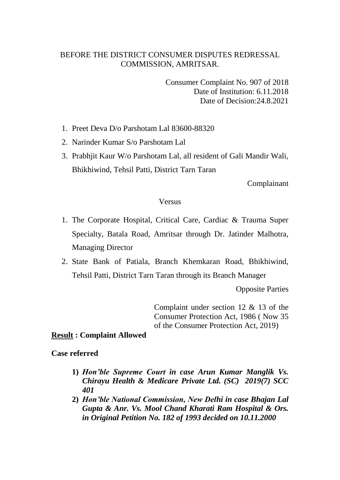# BEFORE THE DISTRICT CONSUMER DISPUTES REDRESSAL COMMISSION, AMRITSAR.

Consumer Complaint No. 907 of 2018 Date of Institution: 6.11.2018 Date of Decision:24.8.2021

- 1. Preet Deva D/o Parshotam Lal 83600-88320
- 2. Narinder Kumar S/o Parshotam Lal
- 3. Prabhjit Kaur W/o Parshotam Lal, all resident of Gali Mandir Wali, Bhikhiwind, Tehsil Patti, District Tarn Taran

Complainant

#### Versus

- 1. The Corporate Hospital, Critical Care, Cardiac & Trauma Super Specialty, Batala Road, Amritsar through Dr. Jatinder Malhotra, Managing Director
- 2. State Bank of Patiala, Branch Khemkaran Road, Bhikhiwind, Tehsil Patti, District Tarn Taran through its Branch Manager

Opposite Parties

Complaint under section 12 & 13 of the Consumer Protection Act, 1986 ( Now 35 of the Consumer Protection Act, 2019)

### **Result : Complaint Allowed**

#### **Case referred**

- **1)** *Hon'ble Supreme Court in case Arun Kumar Manglik Vs. Chirayu Health & Medicare Private Ltd. (SC) 2019(7) SCC 401*
- **2)** *Hon'ble National Commission, New Delhi in case Bhajan Lal Gupta & Anr. Vs. Mool Chand Kharati Ram Hospital & Ors. in Original Petition No. 182 of 1993 decided on 10.11.2000*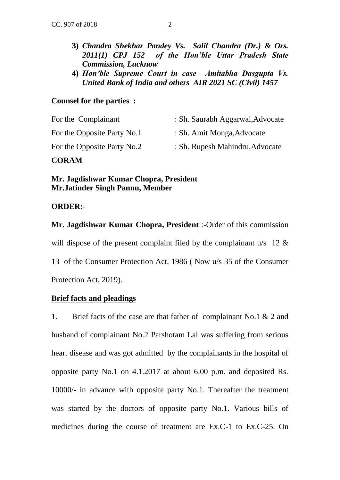- **3)** *Chandra Shekhar Pandey Vs. Salil Chandra (Dr.) & Ors. 2011(1) CPJ 152 of the Hon'ble Uttar Pradesh State Commission, Lucknow*
- **4)** *Hon'ble Supreme Court in case Amitabha Dasgupta Vs. United Bank of India and others AIR 2021 SC (Civil) 1457*

## **Counsel for the parties :**

| For the Complainant         | : Sh. Saurabh Aggarwal, Advocate |
|-----------------------------|----------------------------------|
| For the Opposite Party No.1 | : Sh. Amit Monga, Advocate       |
| For the Opposite Party No.2 | : Sh. Rupesh Mahindru, Advocate  |

# **CORAM**

**Mr. Jagdishwar Kumar Chopra, President Mr.Jatinder Singh Pannu, Member**

## **ORDER:-**

**Mr. Jagdishwar Kumar Chopra, President** :-Order of this commission will dispose of the present complaint filed by the complainant  $u/s$  12  $\&$ 13 of the Consumer Protection Act, 1986 ( Now u/s 35 of the Consumer Protection Act, 2019).

# **Brief facts and pleadings**

1. Brief facts of the case are that father of complainant No.1 & 2 and husband of complainant No.2 Parshotam Lal was suffering from serious heart disease and was got admitted by the complainants in the hospital of opposite party No.1 on 4.1.2017 at about 6.00 p.m. and deposited Rs. 10000/- in advance with opposite party No.1. Thereafter the treatment was started by the doctors of opposite party No.1. Various bills of medicines during the course of treatment are Ex.C-1 to Ex.C-25. On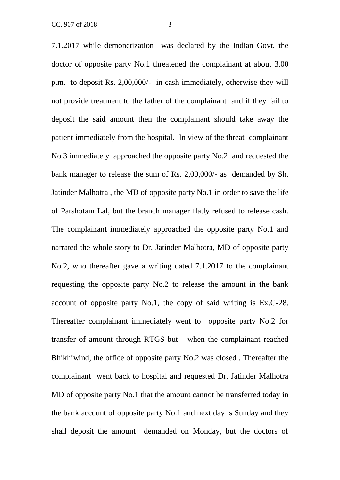7.1.2017 while demonetization was declared by the Indian Govt, the doctor of opposite party No.1 threatened the complainant at about 3.00 p.m. to deposit Rs. 2,00,000/- in cash immediately, otherwise they will not provide treatment to the father of the complainant and if they fail to deposit the said amount then the complainant should take away the patient immediately from the hospital. In view of the threat complainant No.3 immediately approached the opposite party No.2 and requested the bank manager to release the sum of Rs. 2,00,000/- as demanded by Sh. Jatinder Malhotra , the MD of opposite party No.1 in order to save the life of Parshotam Lal, but the branch manager flatly refused to release cash. The complainant immediately approached the opposite party No.1 and narrated the whole story to Dr. Jatinder Malhotra, MD of opposite party No.2, who thereafter gave a writing dated 7.1.2017 to the complainant requesting the opposite party No.2 to release the amount in the bank account of opposite party No.1, the copy of said writing is Ex.C-28. Thereafter complainant immediately went to opposite party No.2 for transfer of amount through RTGS but when the complainant reached Bhikhiwind, the office of opposite party No.2 was closed . Thereafter the complainant went back to hospital and requested Dr. Jatinder Malhotra MD of opposite party No.1 that the amount cannot be transferred today in the bank account of opposite party No.1 and next day is Sunday and they shall deposit the amount demanded on Monday, but the doctors of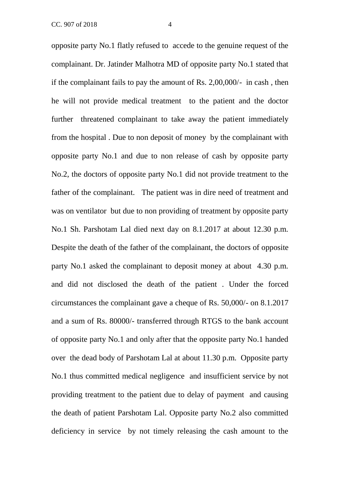opposite party No.1 flatly refused to accede to the genuine request of the complainant. Dr. Jatinder Malhotra MD of opposite party No.1 stated that if the complainant fails to pay the amount of Rs. 2,00,000/- in cash , then he will not provide medical treatment to the patient and the doctor further threatened complainant to take away the patient immediately from the hospital . Due to non deposit of money by the complainant with opposite party No.1 and due to non release of cash by opposite party No.2, the doctors of opposite party No.1 did not provide treatment to the father of the complainant. The patient was in dire need of treatment and was on ventilator but due to non providing of treatment by opposite party No.1 Sh. Parshotam Lal died next day on 8.1.2017 at about 12.30 p.m. Despite the death of the father of the complainant, the doctors of opposite party No.1 asked the complainant to deposit money at about 4.30 p.m. and did not disclosed the death of the patient . Under the forced circumstances the complainant gave a cheque of Rs. 50,000/- on 8.1.2017 and a sum of Rs. 80000/- transferred through RTGS to the bank account of opposite party No.1 and only after that the opposite party No.1 handed over the dead body of Parshotam Lal at about 11.30 p.m. Opposite party No.1 thus committed medical negligence and insufficient service by not providing treatment to the patient due to delay of payment and causing the death of patient Parshotam Lal. Opposite party No.2 also committed deficiency in service by not timely releasing the cash amount to the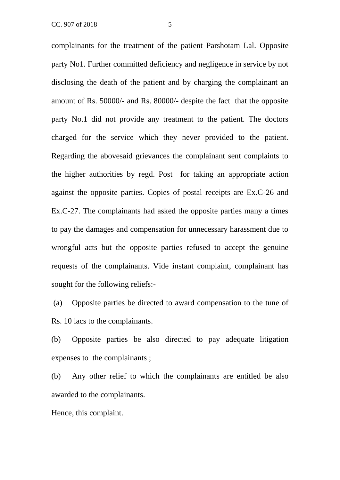complainants for the treatment of the patient Parshotam Lal. Opposite party No1. Further committed deficiency and negligence in service by not disclosing the death of the patient and by charging the complainant an amount of Rs. 50000/- and Rs. 80000/- despite the fact that the opposite party No.1 did not provide any treatment to the patient. The doctors charged for the service which they never provided to the patient. Regarding the abovesaid grievances the complainant sent complaints to the higher authorities by regd. Post for taking an appropriate action against the opposite parties. Copies of postal receipts are Ex.C-26 and Ex.C-27. The complainants had asked the opposite parties many a times to pay the damages and compensation for unnecessary harassment due to wrongful acts but the opposite parties refused to accept the genuine requests of the complainants. Vide instant complaint, complainant has sought for the following reliefs:-

(a) Opposite parties be directed to award compensation to the tune of Rs. 10 lacs to the complainants.

(b) Opposite parties be also directed to pay adequate litigation expenses to the complainants ;

(b) Any other relief to which the complainants are entitled be also awarded to the complainants.

Hence, this complaint.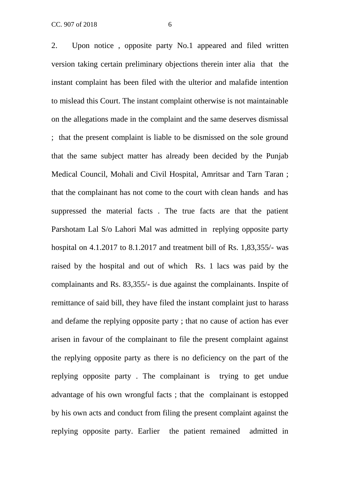2. Upon notice , opposite party No.1 appeared and filed written version taking certain preliminary objections therein inter alia that the instant complaint has been filed with the ulterior and malafide intention to mislead this Court. The instant complaint otherwise is not maintainable on the allegations made in the complaint and the same deserves dismissal ; that the present complaint is liable to be dismissed on the sole ground that the same subject matter has already been decided by the Punjab Medical Council, Mohali and Civil Hospital, Amritsar and Tarn Taran ; that the complainant has not come to the court with clean hands and has suppressed the material facts . The true facts are that the patient Parshotam Lal S/o Lahori Mal was admitted in replying opposite party hospital on 4.1.2017 to 8.1.2017 and treatment bill of Rs. 1,83,355/- was raised by the hospital and out of which Rs. 1 lacs was paid by the complainants and Rs. 83,355/- is due against the complainants. Inspite of remittance of said bill, they have filed the instant complaint just to harass and defame the replying opposite party ; that no cause of action has ever arisen in favour of the complainant to file the present complaint against the replying opposite party as there is no deficiency on the part of the replying opposite party . The complainant is trying to get undue advantage of his own wrongful facts ; that the complainant is estopped by his own acts and conduct from filing the present complaint against the

replying opposite party. Earlier the patient remained admitted in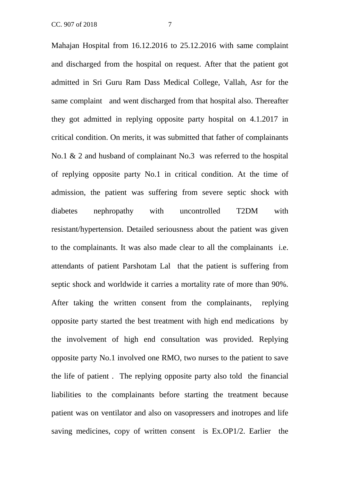Mahajan Hospital from 16.12.2016 to 25.12.2016 with same complaint and discharged from the hospital on request. After that the patient got admitted in Sri Guru Ram Dass Medical College, Vallah, Asr for the same complaint and went discharged from that hospital also. Thereafter they got admitted in replying opposite party hospital on 4.1.2017 in critical condition. On merits, it was submitted that father of complainants No.1 & 2 and husband of complainant No.3 was referred to the hospital of replying opposite party No.1 in critical condition. At the time of admission, the patient was suffering from severe septic shock with diabetes nephropathy with uncontrolled T2DM with resistant/hypertension. Detailed seriousness about the patient was given to the complainants. It was also made clear to all the complainants i.e. attendants of patient Parshotam Lal that the patient is suffering from septic shock and worldwide it carries a mortality rate of more than 90%. After taking the written consent from the complainants, replying opposite party started the best treatment with high end medications by the involvement of high end consultation was provided. Replying opposite party No.1 involved one RMO, two nurses to the patient to save the life of patient . The replying opposite party also told the financial liabilities to the complainants before starting the treatment because patient was on ventilator and also on vasopressers and inotropes and life saving medicines, copy of written consent is Ex.OP1/2. Earlier the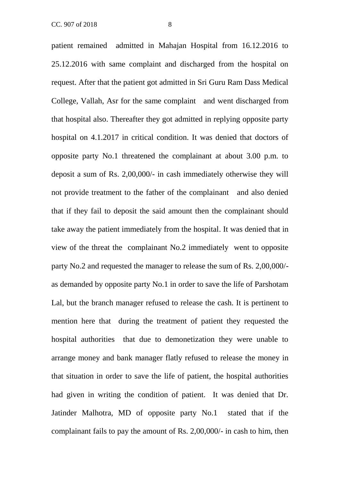patient remained admitted in Mahajan Hospital from 16.12.2016 to 25.12.2016 with same complaint and discharged from the hospital on request. After that the patient got admitted in Sri Guru Ram Dass Medical College, Vallah, Asr for the same complaint and went discharged from that hospital also. Thereafter they got admitted in replying opposite party hospital on 4.1.2017 in critical condition. It was denied that doctors of opposite party No.1 threatened the complainant at about 3.00 p.m. to deposit a sum of Rs. 2,00,000/- in cash immediately otherwise they will not provide treatment to the father of the complainant and also denied that if they fail to deposit the said amount then the complainant should take away the patient immediately from the hospital. It was denied that in view of the threat the complainant No.2 immediately went to opposite party No.2 and requested the manager to release the sum of Rs. 2,00,000/ as demanded by opposite party No.1 in order to save the life of Parshotam Lal, but the branch manager refused to release the cash. It is pertinent to mention here that during the treatment of patient they requested the hospital authorities that due to demonetization they were unable to arrange money and bank manager flatly refused to release the money in that situation in order to save the life of patient, the hospital authorities had given in writing the condition of patient. It was denied that Dr. Jatinder Malhotra, MD of opposite party No.1 stated that if the complainant fails to pay the amount of Rs. 2,00,000/- in cash to him, then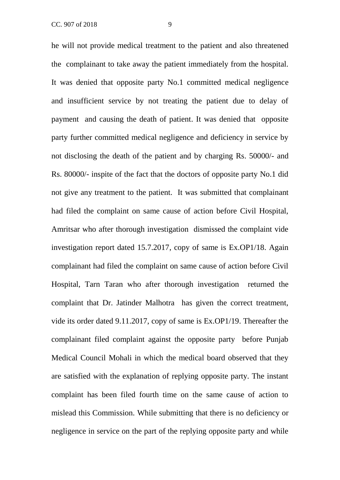he will not provide medical treatment to the patient and also threatened the complainant to take away the patient immediately from the hospital. It was denied that opposite party No.1 committed medical negligence and insufficient service by not treating the patient due to delay of payment and causing the death of patient. It was denied that opposite party further committed medical negligence and deficiency in service by not disclosing the death of the patient and by charging Rs. 50000/- and Rs. 80000/- inspite of the fact that the doctors of opposite party No.1 did not give any treatment to the patient. It was submitted that complainant had filed the complaint on same cause of action before Civil Hospital, Amritsar who after thorough investigation dismissed the complaint vide investigation report dated 15.7.2017, copy of same is Ex.OP1/18. Again complainant had filed the complaint on same cause of action before Civil Hospital, Tarn Taran who after thorough investigation returned the complaint that Dr. Jatinder Malhotra has given the correct treatment, vide its order dated 9.11.2017, copy of same is Ex.OP1/19. Thereafter the complainant filed complaint against the opposite party before Punjab Medical Council Mohali in which the medical board observed that they are satisfied with the explanation of replying opposite party. The instant complaint has been filed fourth time on the same cause of action to mislead this Commission. While submitting that there is no deficiency or negligence in service on the part of the replying opposite party and while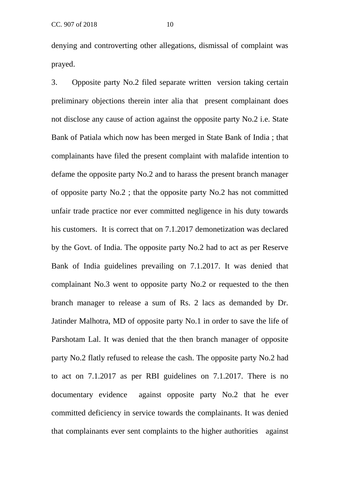denying and controverting other allegations, dismissal of complaint was prayed.

3. Opposite party No.2 filed separate written version taking certain preliminary objections therein inter alia that present complainant does not disclose any cause of action against the opposite party No.2 i.e. State Bank of Patiala which now has been merged in State Bank of India ; that complainants have filed the present complaint with malafide intention to defame the opposite party No.2 and to harass the present branch manager of opposite party No.2 ; that the opposite party No.2 has not committed unfair trade practice nor ever committed negligence in his duty towards his customers. It is correct that on 7.1.2017 demonetization was declared by the Govt. of India. The opposite party No.2 had to act as per Reserve Bank of India guidelines prevailing on 7.1.2017. It was denied that complainant No.3 went to opposite party No.2 or requested to the then branch manager to release a sum of Rs. 2 lacs as demanded by Dr. Jatinder Malhotra, MD of opposite party No.1 in order to save the life of Parshotam Lal. It was denied that the then branch manager of opposite party No.2 flatly refused to release the cash. The opposite party No.2 had to act on 7.1.2017 as per RBI guidelines on 7.1.2017. There is no documentary evidence against opposite party No.2 that he ever committed deficiency in service towards the complainants. It was denied that complainants ever sent complaints to the higher authorities against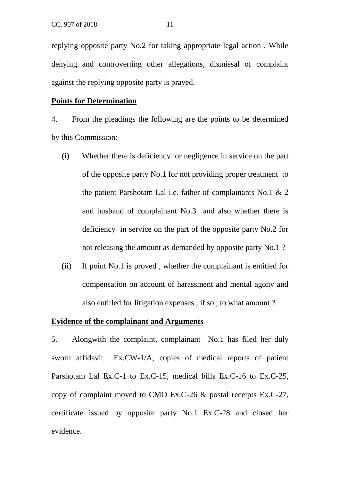replying opposite party No.2 for taking appropriate legal action . While denying and controverting other allegations, dismissal of complaint against the replying opposite party is prayed.

#### **Points for Determination**

4. From the pleadings the following are the points to be determined by this Commission:-

- (i) Whether there is deficiency or negligence in service on the part of the opposite party No.1 for not providing proper treatment to the patient Parshotam Lal i.e. father of complainants No.1 & 2 and husband of complainant No.3 and also whether there is deficiency in service on the part of the opposite party No.2 for not releasing the amount as demanded by opposite party No.1 ?
- (ii) If point No.1 is proved , whether the complainant is entitled for compensation on account of harassment and mental agony and also entitled for litigation expenses , if so , to what amount ?

## **Evidence of the complainant and Arguments**

5. Alongwith the complaint, complainant No.1 has filed her duly sworn affidavit Ex.CW-1/A, copies of medical reports of patient Parshotam Lal Ex.C-1 to Ex.C-15, medical bills Ex.C-16 to Ex.C-25, copy of complaint moved to CMO Ex.C-26 & postal receipts Ex.C-27, certificate issued by opposite party No.1 Ex.C-28 and closed her evidence.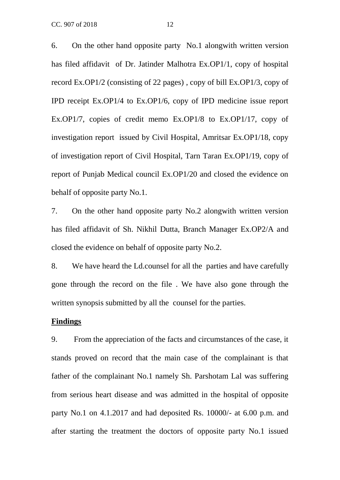6. On the other hand opposite party No.1 alongwith written version has filed affidavit of Dr. Jatinder Malhotra Ex.OP1/1, copy of hospital record Ex.OP1/2 (consisting of 22 pages) , copy of bill Ex.OP1/3, copy of IPD receipt Ex.OP1/4 to Ex.OP1/6, copy of IPD medicine issue report Ex.OP1/7, copies of credit memo Ex.OP1/8 to Ex.OP1/17, copy of investigation report issued by Civil Hospital, Amritsar Ex.OP1/18, copy of investigation report of Civil Hospital, Tarn Taran Ex.OP1/19, copy of report of Punjab Medical council Ex.OP1/20 and closed the evidence on behalf of opposite party No.1.

7. On the other hand opposite party No.2 alongwith written version has filed affidavit of Sh. Nikhil Dutta, Branch Manager Ex.OP2/A and closed the evidence on behalf of opposite party No.2.

8. We have heard the Ld.counsel for all the parties and have carefully gone through the record on the file . We have also gone through the written synopsis submitted by all the counsel for the parties.

#### **Findings**

9. From the appreciation of the facts and circumstances of the case, it stands proved on record that the main case of the complainant is that father of the complainant No.1 namely Sh. Parshotam Lal was suffering from serious heart disease and was admitted in the hospital of opposite party No.1 on 4.1.2017 and had deposited Rs. 10000/- at 6.00 p.m. and after starting the treatment the doctors of opposite party No.1 issued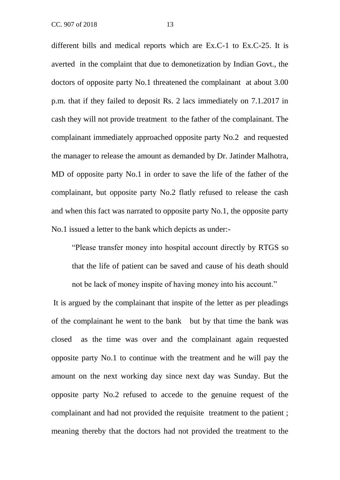different bills and medical reports which are Ex.C-1 to Ex.C-25. It is averted in the complaint that due to demonetization by Indian Govt., the doctors of opposite party No.1 threatened the complainant at about 3.00 p.m. that if they failed to deposit Rs. 2 lacs immediately on 7.1.2017 in cash they will not provide treatment to the father of the complainant. The complainant immediately approached opposite party No.2 and requested the manager to release the amount as demanded by Dr. Jatinder Malhotra, MD of opposite party No.1 in order to save the life of the father of the complainant, but opposite party No.2 flatly refused to release the cash and when this fact was narrated to opposite party No.1, the opposite party No.1 issued a letter to the bank which depicts as under:-

"Please transfer money into hospital account directly by RTGS so that the life of patient can be saved and cause of his death should not be lack of money inspite of having money into his account."

It is argued by the complainant that inspite of the letter as per pleadings of the complainant he went to the bank but by that time the bank was closed as the time was over and the complainant again requested opposite party No.1 to continue with the treatment and he will pay the amount on the next working day since next day was Sunday. But the opposite party No.2 refused to accede to the genuine request of the complainant and had not provided the requisite treatment to the patient ; meaning thereby that the doctors had not provided the treatment to the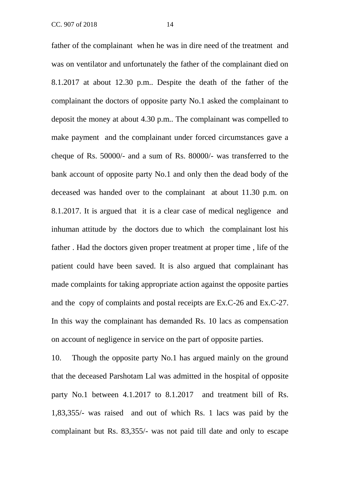father of the complainant when he was in dire need of the treatment and was on ventilator and unfortunately the father of the complainant died on 8.1.2017 at about 12.30 p.m.. Despite the death of the father of the complainant the doctors of opposite party No.1 asked the complainant to deposit the money at about 4.30 p.m.. The complainant was compelled to make payment and the complainant under forced circumstances gave a cheque of Rs. 50000/- and a sum of Rs. 80000/- was transferred to the bank account of opposite party No.1 and only then the dead body of the deceased was handed over to the complainant at about 11.30 p.m. on 8.1.2017. It is argued that it is a clear case of medical negligence and inhuman attitude by the doctors due to which the complainant lost his father . Had the doctors given proper treatment at proper time , life of the patient could have been saved. It is also argued that complainant has made complaints for taking appropriate action against the opposite parties and the copy of complaints and postal receipts are Ex.C-26 and Ex.C-27. In this way the complainant has demanded Rs. 10 lacs as compensation on account of negligence in service on the part of opposite parties.

10. Though the opposite party No.1 has argued mainly on the ground that the deceased Parshotam Lal was admitted in the hospital of opposite party No.1 between 4.1.2017 to 8.1.2017 and treatment bill of Rs. 1,83,355/- was raised and out of which Rs. 1 lacs was paid by the complainant but Rs. 83,355/- was not paid till date and only to escape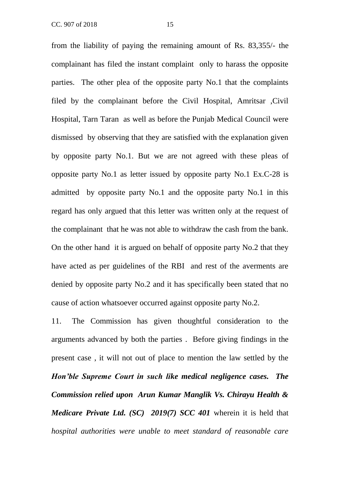from the liability of paying the remaining amount of Rs. 83,355/- the complainant has filed the instant complaint only to harass the opposite parties. The other plea of the opposite party No.1 that the complaints filed by the complainant before the Civil Hospital, Amritsar ,Civil Hospital, Tarn Taran as well as before the Punjab Medical Council were dismissed by observing that they are satisfied with the explanation given by opposite party No.1. But we are not agreed with these pleas of opposite party No.1 as letter issued by opposite party No.1 Ex.C-28 is admitted by opposite party No.1 and the opposite party No.1 in this regard has only argued that this letter was written only at the request of the complainant that he was not able to withdraw the cash from the bank. On the other hand it is argued on behalf of opposite party No.2 that they have acted as per guidelines of the RBI and rest of the averments are denied by opposite party No.2 and it has specifically been stated that no cause of action whatsoever occurred against opposite party No.2.

11. The Commission has given thoughtful consideration to the arguments advanced by both the parties . Before giving findings in the present case , it will not out of place to mention the law settled by the *Hon'ble Supreme Court in such like medical negligence cases. The Commission relied upon Arun Kumar Manglik Vs. Chirayu Health & Medicare Private Ltd. (SC) 2019(7) SCC 401* wherein it is held that *hospital authorities were unable to meet standard of reasonable care*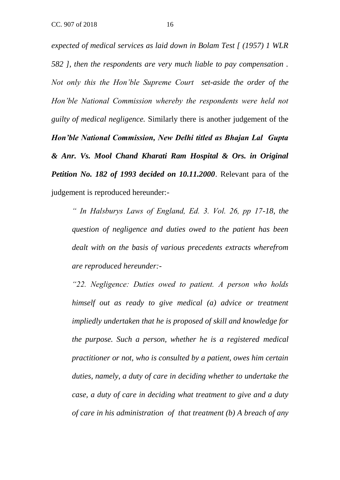*expected of medical services as laid down in Bolam Test [ (1957) 1 WLR 582 ], then the respondents are very much liable to pay compensation . Not only this the Hon'ble Supreme Court set-aside the order of the Hon'ble National Commission whereby the respondents were held not guilty of medical negligence.* Similarly there is another judgement of the *Hon'ble National Commission, New Delhi titled as Bhajan Lal Gupta & Anr. Vs. Mool Chand Kharati Ram Hospital & Ors. in Original Petition No. 182 of 1993 decided on 10.11.2000*. Relevant para of the judgement is reproduced hereunder:-

*" In Halsburys Laws of England, Ed. 3. Vol. 26, pp 17-18, the question of negligence and duties owed to the patient has been dealt with on the basis of various precedents extracts wherefrom are reproduced hereunder:-*

*"22. Negligence: Duties owed to patient. A person who holds himself out as ready to give medical (a) advice or treatment impliedly undertaken that he is proposed of skill and knowledge for the purpose. Such a person, whether he is a registered medical practitioner or not, who is consulted by a patient, owes him certain duties, namely, a duty of care in deciding whether to undertake the case, a duty of care in deciding what treatment to give and a duty of care in his administration of that treatment (b) A breach of any*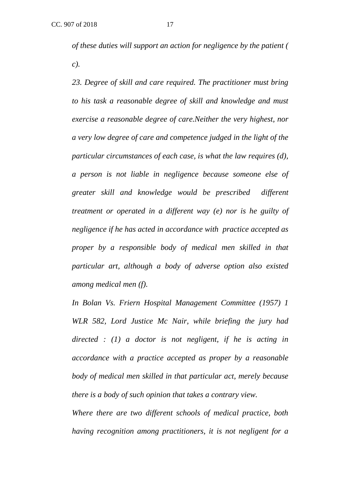*of these duties will support an action for negligence by the patient ( c).*

*23. Degree of skill and care required. The practitioner must bring to his task a reasonable degree of skill and knowledge and must exercise a reasonable degree of care.Neither the very highest, nor a very low degree of care and competence judged in the light of the particular circumstances of each case, is what the law requires (d), a person is not liable in negligence because someone else of greater skill and knowledge would be prescribed different treatment or operated in a different way (e) nor is he guilty of negligence if he has acted in accordance with practice accepted as proper by a responsible body of medical men skilled in that particular art, although a body of adverse option also existed among medical men (f).*

*In Bolan Vs. Friern Hospital Management Committee (1957) 1 WLR 582, Lord Justice Mc Nair, while briefing the jury had directed : (1) a doctor is not negligent, if he is acting in accordance with a practice accepted as proper by a reasonable body of medical men skilled in that particular act, merely because there is a body of such opinion that takes a contrary view.*

*Where there are two different schools of medical practice, both having recognition among practitioners, it is not negligent for a*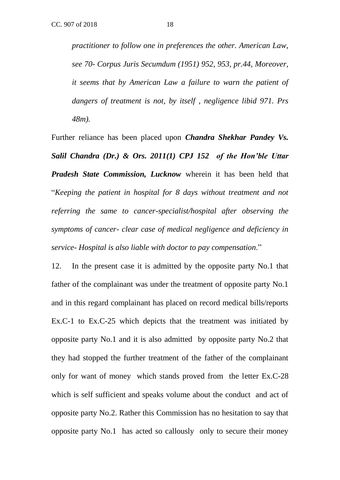*practitioner to follow one in preferences the other. American Law, see 70- Corpus Juris Secumdum (1951) 952, 953, pr.44, Moreover, it seems that by American Law a failure to warn the patient of dangers of treatment is not, by itself , negligence libid 971. Prs 48m).*

Further reliance has been placed upon *Chandra Shekhar Pandey Vs. Salil Chandra (Dr.) & Ors. 2011(1) CPJ 152 of the Hon'ble Uttar Pradesh State Commission, Lucknow* wherein it has been held that "*Keeping the patient in hospital for 8 days without treatment and not referring the same to cancer-specialist/hospital after observing the symptoms of cancer- clear case of medical negligence and deficiency in service- Hospital is also liable with doctor to pay compensation*."

12. In the present case it is admitted by the opposite party No.1 that father of the complainant was under the treatment of opposite party No.1 and in this regard complainant has placed on record medical bills/reports Ex.C-1 to Ex.C-25 which depicts that the treatment was initiated by opposite party No.1 and it is also admitted by opposite party No.2 that they had stopped the further treatment of the father of the complainant only for want of money which stands proved from the letter Ex.C-28 which is self sufficient and speaks volume about the conduct and act of opposite party No.2. Rather this Commission has no hesitation to say that opposite party No.1 has acted so callously only to secure their money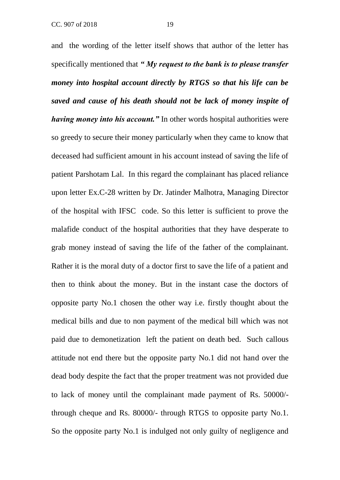and the wording of the letter itself shows that author of the letter has specifically mentioned that *" My request to the bank is to please transfer money into hospital account directly by RTGS so that his life can be saved and cause of his death should not be lack of money inspite of having money into his account."* In other words hospital authorities were so greedy to secure their money particularly when they came to know that deceased had sufficient amount in his account instead of saving the life of patient Parshotam Lal. In this regard the complainant has placed reliance upon letter Ex.C-28 written by Dr. Jatinder Malhotra, Managing Director of the hospital with IFSC code. So this letter is sufficient to prove the malafide conduct of the hospital authorities that they have desperate to grab money instead of saving the life of the father of the complainant. Rather it is the moral duty of a doctor first to save the life of a patient and then to think about the money. But in the instant case the doctors of opposite party No.1 chosen the other way i.e. firstly thought about the medical bills and due to non payment of the medical bill which was not paid due to demonetization left the patient on death bed. Such callous attitude not end there but the opposite party No.1 did not hand over the dead body despite the fact that the proper treatment was not provided due to lack of money until the complainant made payment of Rs. 50000/-

So the opposite party No.1 is indulged not only guilty of negligence and

through cheque and Rs. 80000/- through RTGS to opposite party No.1.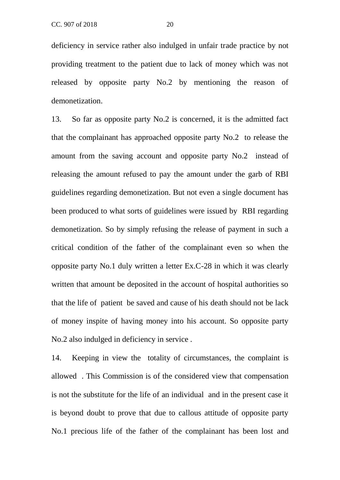deficiency in service rather also indulged in unfair trade practice by not providing treatment to the patient due to lack of money which was not released by opposite party No.2 by mentioning the reason of demonetization.

13. So far as opposite party No.2 is concerned, it is the admitted fact that the complainant has approached opposite party No.2 to release the amount from the saving account and opposite party No.2 instead of releasing the amount refused to pay the amount under the garb of RBI guidelines regarding demonetization. But not even a single document has been produced to what sorts of guidelines were issued by RBI regarding demonetization. So by simply refusing the release of payment in such a critical condition of the father of the complainant even so when the opposite party No.1 duly written a letter Ex.C-28 in which it was clearly written that amount be deposited in the account of hospital authorities so that the life of patient be saved and cause of his death should not be lack of money inspite of having money into his account. So opposite party No.2 also indulged in deficiency in service .

14. Keeping in view the totality of circumstances, the complaint is allowed . This Commission is of the considered view that compensation is not the substitute for the life of an individual and in the present case it is beyond doubt to prove that due to callous attitude of opposite party No.1 precious life of the father of the complainant has been lost and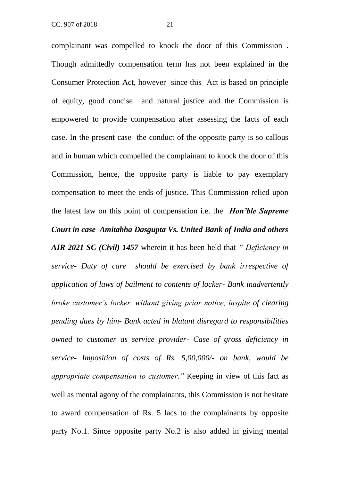complainant was compelled to knock the door of this Commission . Though admittedly compensation term has not been explained in the Consumer Protection Act, however since this Act is based on principle of equity, good concise and natural justice and the Commission is empowered to provide compensation after assessing the facts of each case. In the present case the conduct of the opposite party is so callous and in human which compelled the complainant to knock the door of this Commission, hence, the opposite party is liable to pay exemplary compensation to meet the ends of justice. This Commission relied upon the latest law on this point of compensation i.e. the *Hon'ble Supreme Court in case Amitabha Dasgupta Vs. United Bank of India and others AIR 2021 SC (Civil) 1457* wherein it has been held that *" Deficiency in service- Duty of care should be exercised by bank irrespective of application of laws of bailment to contents of locker- Bank inadvertently broke customer's locker, without giving prior notice, inspite of clearing pending dues by him- Bank acted in blatant disregard to responsibilities owned to customer as service provider- Case of gross deficiency in* 

*service- Imposition of costs of Rs. 5,00,000/- on bank, would be appropriate compensation to customer."* Keeping in view of this fact as well as mental agony of the complainants, this Commission is not hesitate to award compensation of Rs. 5 lacs to the complainants by opposite party No.1. Since opposite party No.2 is also added in giving mental